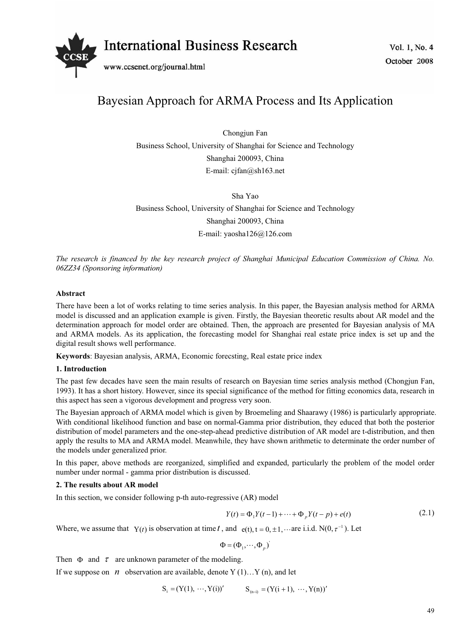

# Bayesian Approach for ARMA Process and Its Application

Chongjun Fan Business School, University of Shanghai for Science and Technology Shanghai 200093, China E-mail: cjfan@sh163.net

Sha Yao Business School, University of Shanghai for Science and Technology Shanghai 200093, China E-mail: yaosha126@126.com

*The research is financed by the key research project of Shanghai Municipal Education Commission of China. No. 06ZZ34 (Sponsoring information)* 

## **Abstract**

There have been a lot of works relating to time series analysis. In this paper, the Bayesian analysis method for ARMA model is discussed and an application example is given. Firstly, the Bayesian theoretic results about AR model and the determination approach for model order are obtained. Then, the approach are presented for Bayesian analysis of MA and ARMA models. As its application, the forecasting model for Shanghai real estate price index is set up and the digital result shows well performance.

**Keywords**: Bayesian analysis, ARMA, Economic forecsting, Real estate price index

## **1. Introduction**

The past few decades have seen the main results of research on Bayesian time series analysis method (Chongjun Fan, 1993). It has a short history. However, since its special significance of the method for fitting economics data, research in this aspect has seen a vigorous development and progress very soon.

The Bayesian approach of ARMA model which is given by Broemeling and Shaarawy (1986) is particularly appropriate. With conditional likelihood function and base on normal-Gamma prior distribution, they educed that both the posterior distribution of model parameters and the one-step-ahead predictive distribution of AR model are t-distribution, and then apply the results to MA and ARMA model. Meanwhile, they have shown arithmetic to determinate the order number of the models under generalized prior.

In this paper, above methods are reorganized, simplified and expanded, particularly the problem of the model order number under normal - gamma prior distribution is discussed.

## **2. The results about AR model**

In this section, we consider following p-th auto-regressive (AR) model

$$
Y(t) = \Phi_1 Y(t-1) + \dots + \Phi_p Y(t-p) + e(t)
$$
\n(2.1)

Where, we assume that  $Y(t)$  is observation at time t, and  $e(t)$ ,  $t = 0, \pm 1, \dots$  are i.i.d.  $N(0, \tau^{-1})$ . Let

 $\Phi = (\Phi_1, \cdots, \Phi_p)$ 

Then  $\Phi$  and  $\tau$  are unknown parameter of the modeling.

If we suppose on  $n$  observation are available, denote Y (1)...Y (n), and let

$$
S_i = (Y(1), \cdots, Y(i))'
$$
  $S_{(n-i)} = (Y(i+1), \cdots, Y(n))'$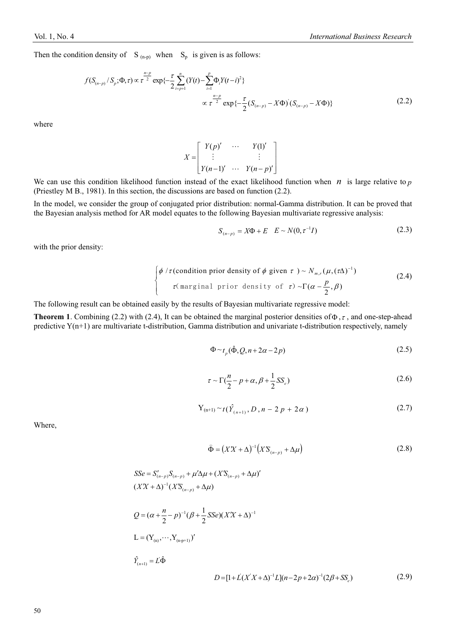Then the condition density of  $S_{(n-p)}$  when  $S_p$  is given is as follows:

$$
f(S_{(n-p)}/S_p; \Phi, \tau) \propto \tau^{\frac{n-p}{2}} \exp\left\{-\frac{\tau}{2} \sum_{i=p+1}^n (Y(t) - \sum_{i=1}^p \Phi_i Y(t-i)^2) \right\}
$$
  

$$
\propto \tau^{\frac{n-p}{2}} \exp\left\{-\frac{\tau}{2} (S_{(n-p)} - X\Phi) (S_{(n-p)} - X\Phi) \right\}
$$
(2.2)

where

$$
X = \begin{bmatrix} Y(p)' & \cdots & Y(1)' \\ \vdots & & \vdots \\ Y(n-1)' & \cdots & Y(n-p)' \end{bmatrix}
$$

We can use this condition likelihood function instead of the exact likelihood function when *n* is large relative to  $p$ (Priestley M B., 1981). In this section, the discussions are based on function (2.2).

In the model, we consider the group of conjugated prior distribution: normal-Gamma distribution. It can be proved that the Bayesian analysis method for AR model equates to the following Bayesian multivariate regressive analysis:

$$
S_{(n-p)} = X\Phi + E \quad E \sim N(0, \tau^{-1}I) \tag{2.3}
$$

with the prior density:

$$
\begin{cases} \phi / \tau \text{(condition prior density of } \phi \text{ given } \tau) \sim N_{m,r}(\mu, (\tau \Delta)^{-1}) \\ \tau \text{(marginal prior density of } \tau) \sim \Gamma(\alpha - \frac{p}{2}, \beta) \end{cases}
$$
 (2.4)

The following result can be obtained easily by the results of Bayesian multivariate regressive model:

**Theorem 1**. Combining (2.2) with (2.4), It can be obtained the marginal posterior densities of  $\Phi$ ,  $\tau$ , and one-step-ahead predictive Y(n+1) are multivariate t-distribution, Gamma distribution and univariate t-distribution respectively, namely

$$
\Phi \sim t_p(\hat{\Phi}, Q, n + 2\alpha - 2p) \tag{2.5}
$$

$$
\tau \sim \Gamma(\frac{n}{2} - p + \alpha, \beta + \frac{1}{2}SS_e)
$$
\n(2.6)

$$
Y_{(n+1)} \sim t(\hat{Y}_{(n+1)}, D, n-2p+2\alpha)
$$
 (2.7)

Where,

$$
\widehat{\Phi} = \left( X X + \Delta \right)^{-1} \left( X S_{\left( n-p \right)} + \Delta \mu \right) \tag{2.8}
$$

$$
SSe = S'_{(n-p)}S_{(n-p)} + \mu' \Delta \mu + (X'S_{(n-p)} + \Delta \mu)'
$$
  
\n
$$
(XX + \Delta)^{-1} (XS_{(n-p)} + \Delta \mu)
$$
  
\n
$$
Q = (\alpha + \frac{n}{2} - p)^{-1} (\beta + \frac{1}{2} \text{SSe})(XX + \Delta)^{-1}
$$
  
\n
$$
L = (Y_{(n)}, \cdots, Y_{(n+p+1)})'
$$
  
\n
$$
\hat{Y}_{(n+1)} = L\hat{\Phi}
$$
  
\n
$$
D = [1 + L(XX + \Delta)^{-1}L](n - 2p + 2\alpha)^{-1} (2\beta + SS_e)
$$
 (2.9)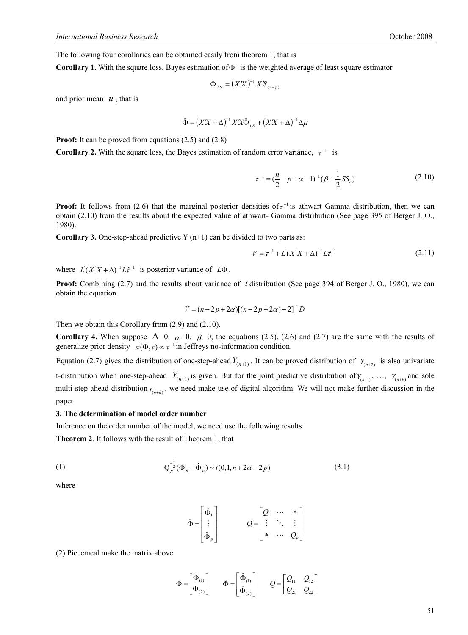The following four corollaries can be obtained easily from theorem 1, that is

**Corollary 1**. With the square loss, Bayes estimation of  $\Phi$  is the weighted average of least square estimator

$$
\widehat{\Phi}_{LS} = (XX)^{-1} X \mathcal{S}_{(n-p)}
$$

and prior mean  $u$ , that is

$$
\widehat{\Phi} = (XX + \Delta)^{-1} X' X \widehat{\Phi}_{LS} + (XX + \Delta)^{-1} \Delta \mu
$$

**Proof:** It can be proved from equations (2.5) and (2.8)

**Corollary 2.** With the square loss, the Bayes estimation of random error variance,  $\tau^{-1}$  is

$$
\tau^{-1} = \left(\frac{n}{2} - p + \alpha - 1\right)^{-1} \left(\beta + \frac{1}{2} S S_e\right)
$$
 (2.10)

**Proof:** It follows from (2.6) that the marginal posterior densities of  $\tau^{-1}$  is athwart Gamma distribution, then we can obtain (2.10) from the results about the expected value of athwart- Gamma distribution (See page 395 of Berger J. O., 1980).

**Corollary 3.** One-step-ahead predictive Y  $(n+1)$  can be divided to two parts as:

$$
V = \tau^{-1} + L(X'X + \Delta)^{-1}L\hat{\tau}^{-1}
$$
\n(2.11)

where  $L'(X'X + \Delta)^{-1} L\hat{\tau}^{-1}$  is posterior variance of  $L'\Phi$ .

**Proof:** Combining (2.7) and the results about variance of *t* distribution (See page 394 of Berger J. O., 1980), we can obtain the equation

$$
V = (n-2p+2\alpha)[(n-2p+2\alpha)-2]^{-1}D
$$

Then we obtain this Corollary from (2.9) and (2.10).

**Corollary 4.** When suppose  $\Delta=0$ ,  $\alpha=0$ ,  $\beta=0$ , the equations (2.5), (2.6) and (2.7) are the same with the results of generalize prior density  $\pi(\Phi, \tau) \propto \tau^{-1}$  in Jeffreys no-information condition.

Equation (2.7) gives the distribution of one-step-ahead  $Y_{(n+1)}$ . It can be proved distribution of  $Y_{(n+2)}$  is also univariate t-distribution when one-step-ahead  $Y_{(n+1)}$  is given. But for the joint predictive distribution of  $Y_{(n+1)}$ , ...,  $Y_{(n+k)}$  and sole multi-step-ahead distribution  $Y_{(n+k)}$ , we need make use of digital algorithm. We will not make further discussion in the paper.

#### **3. The determination of model order number**

Inference on the order number of the model, we need use the following results:

**Theorem 2**. It follows with the result of Theorem 1, that

(1) 
$$
Q_p^{-\frac{1}{2}}(\Phi_p - \hat{\Phi}_p) \sim t(0, 1, n + 2\alpha - 2p)
$$
 (3.1)

where

$$
\hat{\Phi} = \begin{bmatrix} \hat{\Phi}_1 \\ \vdots \\ \hat{\Phi}_p \end{bmatrix} \qquad Q = \begin{bmatrix} Q_1 & \cdots & * \\ \vdots & \ddots & \vdots \\ * & \cdots & Q_p \end{bmatrix}
$$

(2) Piecemeal make the matrix above

$$
\Phi = \begin{bmatrix} \Phi_{(1)} \\ \Phi_{(2)} \end{bmatrix} \qquad \hat{\Phi} = \begin{bmatrix} \hat{\Phi}_{(1)} \\ \hat{\Phi}_{(2)} \end{bmatrix} \qquad Q = \begin{bmatrix} Q_{11} & Q_{12} \\ Q_{21} & Q_{22} \end{bmatrix}
$$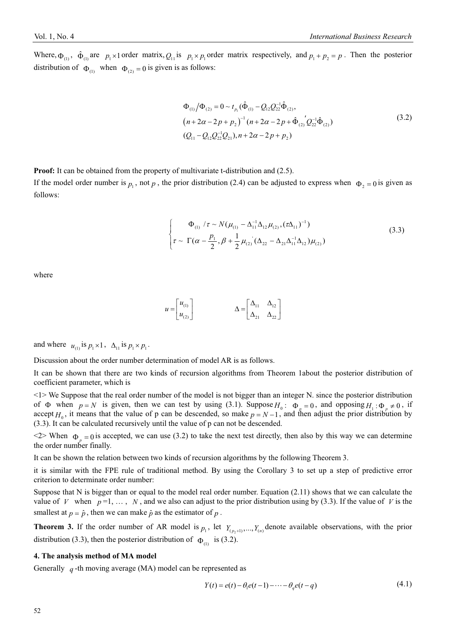Where,  $\Phi_{(1)}$ ,  $\hat{\Phi}_{(1)}$  are  $p_1 \times 1$  order matrix,  $Q_{11}$  is  $p_1 \times p_1$  order matrix respectively, and  $p_1 + p_2 = p$ . Then the posterior distribution of  $\Phi_{(1)}$  when  $\Phi_{(2)} = 0$  is given is as follows:

$$
\Phi_{(1)} / \Phi_{(2)} = 0 \sim t_{p_1} (\hat{\Phi}_{(1)} - Q_{12} Q_{22}^{-1} \hat{\Phi}_{(2)}, \n(n + 2\alpha - 2p + p_2)^{-1} (n + 2\alpha - 2p + \hat{\Phi}_{(2)}' Q_{22}^{-1} \hat{\Phi}_{(2)}) \n(Q_{11} - Q_{12} Q_{22}^{-1} Q_{21}), n + 2\alpha - 2p + p_2)
$$
\n(3.2)

**Proof:** It can be obtained from the property of multivariate t-distribution and (2.5).

If the model order number is  $p_1$ , not p, the prior distribution (2.4) can be adjusted to express when  $\Phi_2 = 0$  is given as follows:

$$
\begin{cases}\n\Phi_{(1)} / \tau \sim N(\mu_{(1)} - \Delta_{11}^{-1} \Delta_{12} \mu_{(2)}, (\tau \Delta_{11})^{-1}) \\
\tau \sim \Gamma(\alpha - \frac{p_1}{2}, \beta + \frac{1}{2} \mu_{(2)} (\Delta_{22} - \Delta_{21} \Delta_{11}^{-1} \Delta_{12}) \mu_{(2)})\n\end{cases}
$$
\n(3.3)

where

$$
u = \begin{bmatrix} u_{(1)} \\ u_{(2)} \end{bmatrix} \qquad \qquad \Delta = \begin{bmatrix} \Delta_{11} & \Delta_{12} \\ \Delta_{21} & \Delta_{22} \end{bmatrix}
$$

and where  $u_{(1)}$  is  $p_1 \times 1$ ,  $\Delta_{11}$  is  $p_1 \times p_1$ .

Discussion about the order number determination of model AR is as follows.

It can be shown that there are two kinds of recursion algorithms from Theorem 1about the posterior distribution of coefficient parameter, which is

<1> We Suppose that the real order number of the model is not bigger than an integer N. since the posterior distribution of  $\Phi$  when  $p = N$  is given, then we can test by using (3.1). Suppose  $H_0: \Phi_p = 0$ , and opposing  $H_1: \Phi_p \neq 0$ , if accept  $H_0$ , it means that the value of p can be descended, so make  $p = N - 1$ , and then adjust the prior distribution by (3.3). It can be calculated recursively until the value of p can not be descended.

 $\langle 2 \rangle$  When  $\Phi_{p} = 0$  is accepted, we can use (3.2) to take the next test directly, then also by this way we can determine the order number finally.

It can be shown the relation between two kinds of recursion algorithms by the following Theorem 3.

it is similar with the FPE rule of traditional method. By using the Corollary 3 to set up a step of predictive error criterion to determinate order number:

Suppose that N is bigger than or equal to the model real order number. Equation (2.11) shows that we can calculate the value of *V* when  $p=1, \ldots, N$ , and we also can adjust to the prior distribution using by (3.3). If the value of *V* is the smallest at  $p = \hat{p}$ , then we can make  $\hat{p}$  as the estimator of  $p$ .

**Theorem 3.** If the order number of AR model is  $p_1$ , let  $Y_{(p_2+1)},..., Y_{(n)}$  denote available observations, with the prior distribution (3.3), then the posterior distribution of  $\Phi_{(1)}$  is (3.2).

#### **4. The analysis method of MA model**

Generally *q* -th moving average (MA) model can be represented as

$$
Y(t) = e(t) - \theta_1 e(t-1) - \dots - \theta_q e(t-q)
$$
\n(4.1)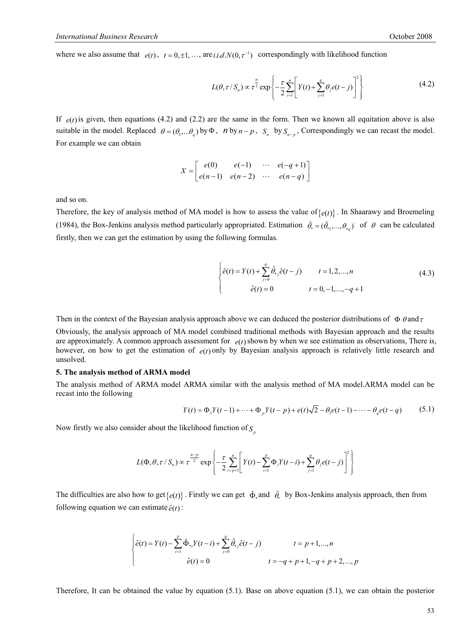where we also assume that  $e(t)$ ,  $t = 0, \pm 1, \ldots$ , are *i.i.d.N*( $0, \tau^{-1}$ ) correspondingly with likelihood function

$$
L(\theta, \tau / S_n) \propto \tau^{\frac{n}{2}} \exp\left\{-\frac{\tau}{2} \sum_{i=1}^n \left[Y(t) + \sum_{j=1}^q \theta_j e(t-j)\right]^2\right\}
$$
(4.2)

If  $e(t)$  is given, then equations (4.2) and (2.2) are the same in the form. Then we known all equitation above is also suitable in the model. Replaced  $\theta = (\theta_1, \dots, \theta_n)$  by  $\Phi$ , *n* by  $n - p$ , *S<sub>n</sub>* by  $S_{n - p}$ , Correspondingly we can recast the model. For example we can obtain

$$
X = \begin{bmatrix} e(0) & e(-1) & \cdots & e(-q+1) \\ e(n-1) & e(n-2) & \cdots & e(n-q) \end{bmatrix}
$$

and so on.

Therefore, the key of analysis method of MA model is how to assess the value of $\{e(t)\}\$ . In Shaarawy and Broemeling (1984), the Box-Jenkins analysis method particularly appropriated. Estimation  $\hat{\theta}_* = (\hat{\theta}_{*1},...,\theta_{*q})$  of  $\theta$  can be calculated firstly, then we can get the estimation by using the following formulas.

$$
\begin{cases}\n\hat{e}(t) = Y(t) + \sum_{j=0}^{q} \hat{\theta}_{*j} \hat{e}(t-j) & t = 1, 2, ..., n \\
\hat{e}(t) = 0 & t = 0, -1, ..., -q + 1\n\end{cases}
$$
\n(4.3)

Then in the context of the Bayesian analysis approach above we can deduced the posterior distributions of  $\Phi$   $\theta$  and  $\tau$ 

Obviously, the analysis approach of MA model combined traditional methods with Bayesian approach and the results are approximately. A common approach assessment for  $e(t)$  shown by when we see estimation as observations, There is, however, on how to get the estimation of  $e(t)$  only by Bayesian analysis approach is relatively little research and unsolved.

#### **5. The analysis method of ARMA model**

The analysis method of ARMA model ARMA similar with the analysis method of MA model.ARMA model can be recast into the following

$$
Y(t) = \Phi_1 Y(t-1) + \dots + \Phi_p Y(t-p) + e(t) \sqrt{2} - \theta_1 e(t-1) - \dots - \theta_q e(t-q)
$$
 (5.1)

Now firstly we also consider about the likelihood function of  $S_p$ 

$$
L(\Phi,\theta,\tau/S_n) \propto \tau^{\frac{n-p}{2}} \exp\left\{-\frac{\tau}{2}\sum_{i=p+1}^n \left[Y(t)-\sum_{i=1}^p \Phi_i Y(t-i)+\sum_{j=1}^q \theta_j e(t-j)\right]^2\right\}
$$

The difficulties are also how to get  $\{e(t)\}$ . Firstly we can get  $\hat{\Phi}_*$  and  $\hat{\theta}_*$  by Box-Jenkins analysis approach, then from following equation we can estimate  $\hat{e}(t)$ :

$$
\begin{cases}\n\hat{e}(t) = Y(t) - \sum_{i=1}^{p} \hat{\Phi}_{*i} Y(t-i) + \sum_{j=0}^{q} \hat{\theta}_{*j} \hat{e}(t-j) & t = p+1,...,n \\
\hat{e}(t) = 0 & t = -q + p + 1, -q + p + 2,...,p\n\end{cases}
$$

Therefore, It can be obtained the value by equation (5.1). Base on above equation (5.1), we can obtain the posterior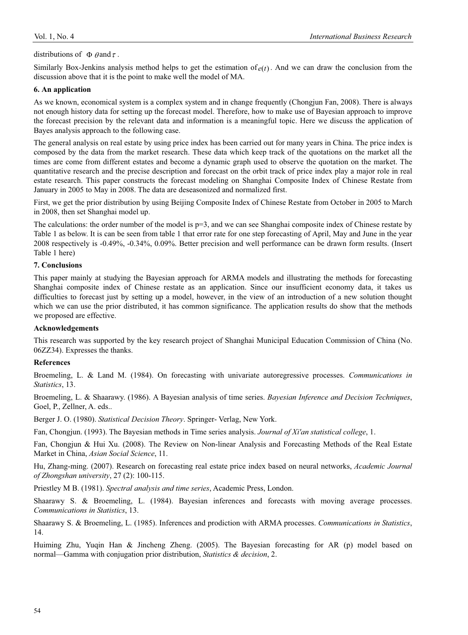## distributions of  $\Phi$   $\theta$  and  $\tau$ .

Similarly Box-Jenkins analysis method helps to get the estimation of  $e(t)$ . And we can draw the conclusion from the discussion above that it is the point to make well the model of MA.

### **6. An application**

As we known, economical system is a complex system and in change frequently (Chongjun Fan, 2008). There is always not enough history data for setting up the forecast model. Therefore, how to make use of Bayesian approach to improve the forecast precision by the relevant data and information is a meaningful topic. Here we discuss the application of Bayes analysis approach to the following case.

The general analysis on real estate by using price index has been carried out for many years in China. The price index is composed by the data from the market research. These data which keep track of the quotations on the market all the times are come from different estates and become a dynamic graph used to observe the quotation on the market. The quantitative research and the precise description and forecast on the orbit track of price index play a major role in real estate research. This paper constructs the forecast modeling on Shanghai Composite Index of Chinese Restate from January in 2005 to May in 2008. The data are deseasonized and normalized first.

First, we get the prior distribution by using Beijing Composite Index of Chinese Restate from October in 2005 to March in 2008, then set Shanghai model up.

The calculations: the order number of the model is  $p=3$ , and we can see Shanghai composite index of Chinese restate by Table 1 as below. It is can be seen from table 1 that error rate for one step forecasting of April, May and June in the year 2008 respectively is -0.49%, -0.34%, 0.09%. Better precision and well performance can be drawn form results. (Insert Table 1 here)

# **7. Conclusions**

This paper mainly at studying the Bayesian approach for ARMA models and illustrating the methods for forecasting Shanghai composite index of Chinese restate as an application. Since our insufficient economy data, it takes us difficulties to forecast just by setting up a model, however, in the view of an introduction of a new solution thought which we can use the prior distributed, it has common significance. The application results do show that the methods we proposed are effective.

## **Acknowledgements**

This research was supported by the key research project of Shanghai Municipal Education Commission of China (No. 06ZZ34). Expresses the thanks.

# **References**

Broemeling, L. & Land M. (1984). On forecasting with univariate autoregressive processes. *Communications in Statistics*, 13.

Broemeling, L. & Shaarawy. (1986). A Bayesian analysis of time series. *Bayesian Inference and Decision Techniques*, Goel, P., Zellner, A. eds..

Berger J. O. (1980). *Statistical Decision Theory*. Springer- Verlag, New York.

Fan, Chongjun. (1993). The Bayesian methods in Time series analysis. *Journal of Xi'an statistical college*, 1.

Fan, Chongjun & Hui Xu. (2008). The Review on Non-linear Analysis and Forecasting Methods of the Real Estate Market in China, *Asian Social Science*, 11.

Hu, Zhang-ming. (2007). Research on forecasting real estate price index based on neural networks, *Academic Journal of Zhongshan university*, 27 (2): 100-115.

Priestley M B. (1981). *Spectral analysis and time series*, Academic Press, London.

Shaarawy S. & Broemeling, L. (1984). Bayesian inferences and forecasts with moving average processes. *Communications in Statistics*, 13.

Shaarawy S. & Broemeling, L. (1985). Inferences and prodiction with ARMA processes. *Communications in Statistics*, 14.

Huiming Zhu, Yuqin Han & Jincheng Zheng. (2005). The Bayesian forecasting for AR (p) model based on normal—Gamma with conjugation prior distribution, *Statistics & decision*, 2.